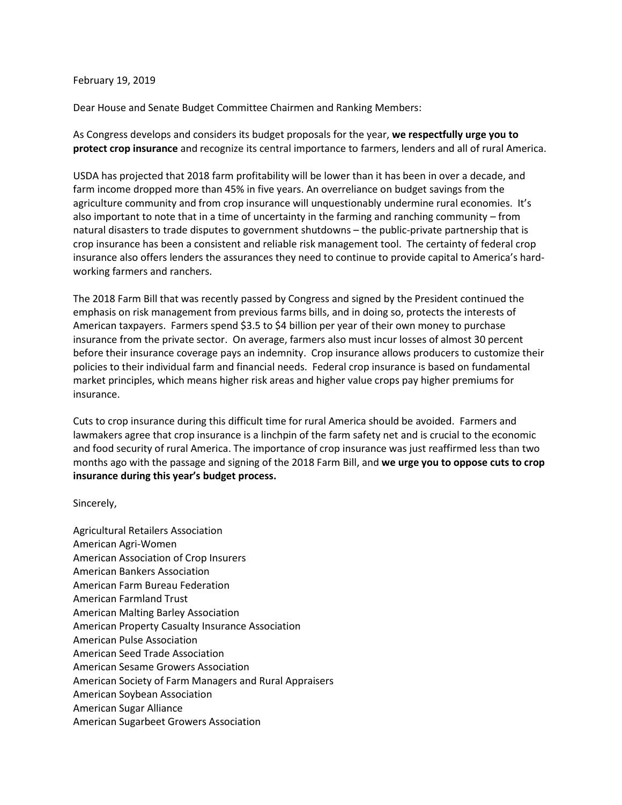## February 19, 2019

Dear House and Senate Budget Committee Chairmen and Ranking Members:

As Congress develops and considers its budget proposals for the year, **we respectfully urge you to protect crop insurance** and recognize its central importance to farmers, lenders and all of rural America.

USDA has projected that 2018 farm profitability will be lower than it has been in over a decade, and farm income dropped more than 45% in five years. An overreliance on budget savings from the agriculture community and from crop insurance will unquestionably undermine rural economies. It's also important to note that in a time of uncertainty in the farming and ranching community – from natural disasters to trade disputes to government shutdowns – the public-private partnership that is crop insurance has been a consistent and reliable risk management tool. The certainty of federal crop insurance also offers lenders the assurances they need to continue to provide capital to America's hardworking farmers and ranchers.

The 2018 Farm Bill that was recently passed by Congress and signed by the President continued the emphasis on risk management from previous farms bills, and in doing so, protects the interests of American taxpayers. Farmers spend \$3.5 to \$4 billion per year of their own money to purchase insurance from the private sector. On average, farmers also must incur losses of almost 30 percent before their insurance coverage pays an indemnity. Crop insurance allows producers to customize their policies to their individual farm and financial needs. Federal crop insurance is based on fundamental market principles, which means higher risk areas and higher value crops pay higher premiums for insurance.

Cuts to crop insurance during this difficult time for rural America should be avoided. Farmers and lawmakers agree that crop insurance is a linchpin of the farm safety net and is crucial to the economic and food security of rural America. The importance of crop insurance was just reaffirmed less than two months ago with the passage and signing of the 2018 Farm Bill, and **we urge you to oppose cuts to crop insurance during this year's budget process.** 

Sincerely,

Agricultural Retailers Association American Agri-Women American Association of Crop Insurers American Bankers Association American Farm Bureau Federation American Farmland Trust American Malting Barley Association American Property Casualty Insurance Association American Pulse Association American Seed Trade Association American Sesame Growers Association American Society of Farm Managers and Rural Appraisers American Soybean Association American Sugar Alliance American Sugarbeet Growers Association